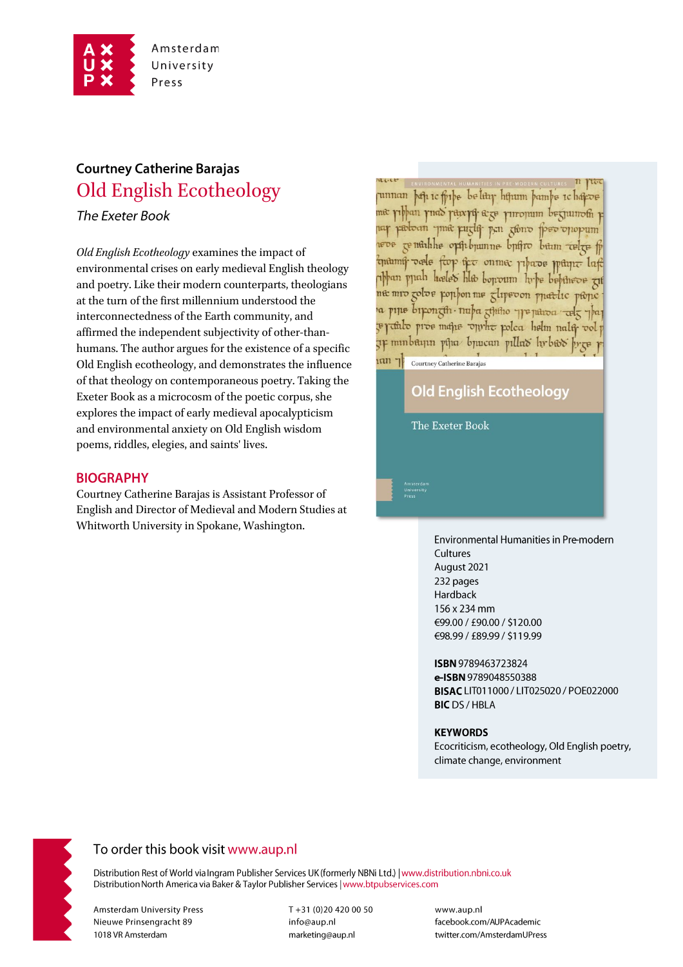

# **Courtney Catherine Barajas Old English Ecotheology**

The Exeter Book

Old English Ecotheology examines the impact of environmental crises on early medieval English theology and poetry. Like their modern counterparts, theologians at the turn of the first millennium understood the interconnectedness of the Earth community, and affirmed the independent subjectivity of other-thanhumans. The author argues for the existence of a specific Old English ecotheology, and demonstrates the influence of that theology on contemporaneous poetry. Taking the Exeter Book as a microcosm of the poetic corpus, she explores the impact of early medieval apocalypticism and environmental anxiety on Old English wisdom poems, riddles, elegies, and saints' lives.

### **BIOGRAPHY**

Courtney Catherine Barajas is Assistant Professor of English and Director of Medieval and Modern Studies at Whitworth University in Spokane, Washington.

unnan þefi ic fjibe belitir hijum þamþe ichafcoe me pibban pnas parep ege piropum begjumom p uar padoan yine puzla pen gono peo opopum remarkhe opthopumne buffro bum relge fo manuf orde for the onme phase puture laft abban puah hæles hlo bonoum hrbe bebineve zit ne mro golos pophon me glipevon pnettic peope a pine birongth nuba gintho preparoa celg pa e raturo pros mane oprhe polea helm nala vol p 7F minbayın pina buucan pillas hrbas brze

## **Old English Ecotheology**

**The Exeter Book** 

Courtney Catherine Barajas

 $tan 7$ 

Environmental Humanities in Pre-modern Cultures August 2021 232 pages Hardback 156 x 234 mm €99.00 / £90.00 / \$120.00 €98.99 / £89.99 / \$119.99

ISBN 9789463723824 e-ISBN 9789048550388 BISAC LIT011000 / LIT025020 / POE022000 **BIC** DS / HBLA

#### **KEYWORDS**

Ecocriticism, ecotheology, Old English poetry, climate change, environment



## To order this book visit www.aup.nl

Distribution Rest of World via Ingram Publisher Services UK (formerly NBNi Ltd.) | www.distribution.nbni.co.uk Distribution North America via Baker & Taylor Publisher Services | www.btpubservices.com

**Amsterdam University Press** Nieuwe Prinsengracht 89 1018 VR Amsterdam

T+31 (0)20 420 00 50 info@aup.nl marketing@aup.nl

www.aup.nl facebook.com/AUPAcademic twitter.com/AmsterdamUPress